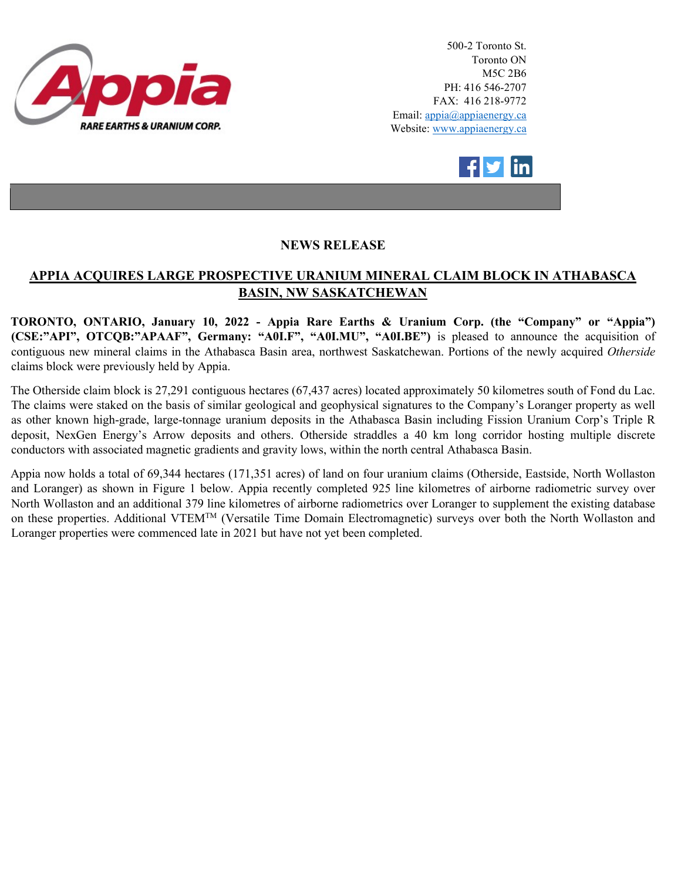

500-2 Toronto St. Toronto ON M5C 2B6 PH: 416 546-2707 FAX: 416 218-9772 Email: appia@appiaenergy.ca Website: www.appiaenergy.ca



## **NEWS RELEASE**

## **APPIA ACQUIRES LARGE PROSPECTIVE URANIUM MINERAL CLAIM BLOCK IN ATHABASCA BASIN, NW SASKATCHEWAN**

**TORONTO, ONTARIO, January 10, 2022 - Appia Rare Earths & Uranium Corp. (the "Company" or "Appia") (CSE:"API", OTCQB:"APAAF", Germany: "A0I.F", "A0I.MU", "A0I.BE")** is pleased to announce the acquisition of contiguous new mineral claims in the Athabasca Basin area, northwest Saskatchewan. Portions of the newly acquired *Otherside* claims block were previously held by Appia.

The Otherside claim block is 27,291 contiguous hectares (67,437 acres) located approximately 50 kilometres south of Fond du Lac. The claims were staked on the basis of similar geological and geophysical signatures to the Company's Loranger property as well as other known high-grade, large-tonnage uranium deposits in the Athabasca Basin including Fission Uranium Corp's Triple R deposit, NexGen Energy's Arrow deposits and others. Otherside straddles a 40 km long corridor hosting multiple discrete conductors with associated magnetic gradients and gravity lows, within the north central Athabasca Basin.

Appia now holds a total of 69,344 hectares (171,351 acres) of land on four uranium claims (Otherside, Eastside, North Wollaston and Loranger) as shown in Figure 1 below. Appia recently completed 925 line kilometres of airborne radiometric survey over North Wollaston and an additional 379 line kilometres of airborne radiometrics over Loranger to supplement the existing database on these properties. Additional VTEMTM (Versatile Time Domain Electromagnetic) surveys over both the North Wollaston and Loranger properties were commenced late in 2021 but have not yet been completed.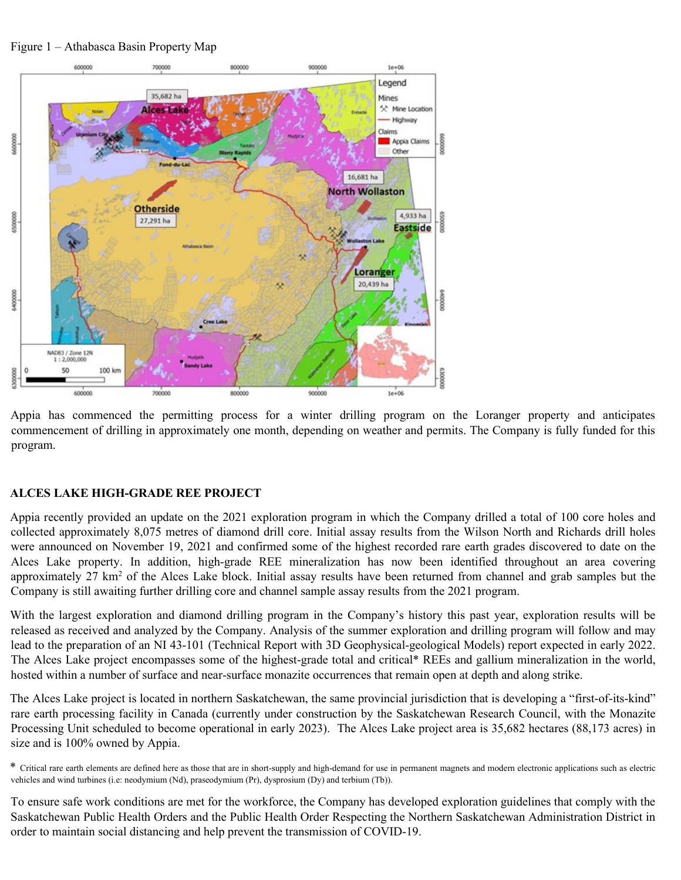Figure 1 – Athabasca Basin Property Map



Appia has commenced the permitting process for a winter drilling program on the Loranger property and anticipates commencement of drilling in approximately one month, depending on weather and permits. The Company is fully funded for this program.

## **ALCES LAKE HIGH-GRADE REE PROJECT**

Appia recently provided an update on the 2021 exploration program in which the Company drilled a total of 100 core holes and collected approximately 8,075 metres of diamond drill core. Initial assay results from the Wilson North and Richards drill holes were announced on November 19, 2021 and confirmed some of the highest recorded rare earth grades discovered to date on the Alces Lake property. In addition, high-grade REE mineralization has now been identified throughout an area covering approximately 27 km<sup>2</sup> of the Alces Lake block. Initial assay results have been returned from channel and grab samples but the Company is still awaiting further drilling core and channel sample assay results from the 2021 program.

With the largest exploration and diamond drilling program in the Company's history this past year, exploration results will be released as received and analyzed by the Company. Analysis of the summer exploration and drilling program will follow and may lead to the preparation of an NI 43-101 (Technical Report with 3D Geophysical-geological Models) report expected in early 2022. The Alces Lake project encompasses some of the highest-grade total and critical\* REEs and gallium mineralization in the world, hosted within a number of surface and near-surface monazite occurrences that remain open at depth and along strike.

The Alces Lake project is located in northern Saskatchewan, the same provincial jurisdiction that is developing a "first-of-its-kind" rare earth processing facility in Canada (currently under construction by the Saskatchewan Research Council, with the Monazite Processing Unit scheduled to become operational in early 2023). The Alces Lake project area is 35,682 hectares (88,173 acres) in size and is 100% owned by Appia.

To ensure safe work conditions are met for the workforce, the Company has developed exploration guidelines that comply with the Saskatchewan Public Health Orders and the Public Health Order Respecting the Northern Saskatchewan Administration District in order to maintain social distancing and help prevent the transmission of COVID-19.

<sup>\*</sup> Critical rare earth elements are defined here as those that are in short-supply and high-demand for use in permanent magnets and modern electronic applications such as electric vehicles and wind turbines (i.e: neodymium (Nd), praseodymium (Pr), dysprosium (Dy) and terbium (Tb)).